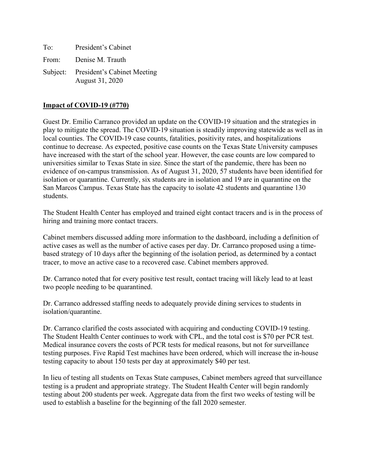| To:   | President's Cabinet                                     |
|-------|---------------------------------------------------------|
| From: | Denise M. Trauth                                        |
|       | Subject: President's Cabinet Meeting<br>August 31, 2020 |

## **Impact of COVID-19 (#770)**

Guest Dr. Emilio Carranco provided an update on the COVID-19 situation and the strategies in play to mitigate the spread. The COVID-19 situation is steadily improving statewide as well as in local counties. The COVID-19 case counts, fatalities, positivity rates, and hospitalizations continue to decrease. As expected, positive case counts on the Texas State University campuses have increased with the start of the school year. However, the case counts are low compared to universities similar to Texas State in size. Since the start of the pandemic, there has been no evidence of on-campus transmission. As of August 31, 2020, 57 students have been identified for isolation or quarantine. Currently, six students are in isolation and 19 are in quarantine on the San Marcos Campus. Texas State has the capacity to isolate 42 students and quarantine 130 students.

The Student Health Center has employed and trained eight contact tracers and is in the process of hiring and training more contact tracers.

Cabinet members discussed adding more information to the dashboard, including a definition of active cases as well as the number of active cases per day. Dr. Carranco proposed using a timebased strategy of 10 days after the beginning of the isolation period, as determined by a contact tracer, to move an active case to a recovered case. Cabinet members approved.

Dr. Carranco noted that for every positive test result, contact tracing will likely lead to at least two people needing to be quarantined.

Dr. Carranco addressed staffing needs to adequately provide dining services to students in isolation/quarantine.

Dr. Carranco clarified the costs associated with acquiring and conducting COVID-19 testing. The Student Health Center continues to work with CPL, and the total cost is \$70 per PCR test. Medical insurance covers the costs of PCR tests for medical reasons, but not for surveillance testing purposes. Five Rapid Test machines have been ordered, which will increase the in-house testing capacity to about 150 tests per day at approximately \$40 per test.

In lieu of testing all students on Texas State campuses, Cabinet members agreed that surveillance testing is a prudent and appropriate strategy. The Student Health Center will begin randomly testing about 200 students per week. Aggregate data from the first two weeks of testing will be used to establish a baseline for the beginning of the fall 2020 semester.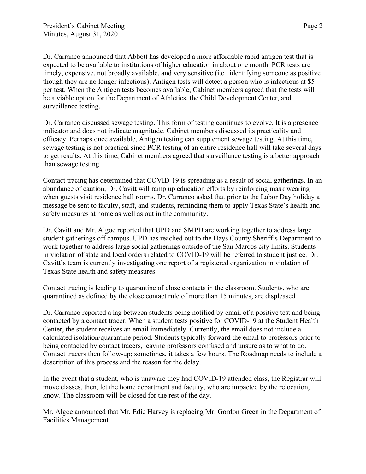Dr. Carranco announced that Abbott has developed a more affordable rapid antigen test that is expected to be available to institutions of higher education in about one month. PCR tests are timely, expensive, not broadly available, and very sensitive (i.e., identifying someone as positive though they are no longer infectious). Antigen tests will detect a person who is infectious at \$5 per test. When the Antigen tests becomes available, Cabinet members agreed that the tests will be a viable option for the Department of Athletics, the Child Development Center, and surveillance testing.

Dr. Carranco discussed sewage testing. This form of testing continues to evolve. It is a presence indicator and does not indicate magnitude. Cabinet members discussed its practicality and efficacy. Perhaps once available, Antigen testing can supplement sewage testing. At this time, sewage testing is not practical since PCR testing of an entire residence hall will take several days to get results. At this time, Cabinet members agreed that surveillance testing is a better approach than sewage testing.

Contact tracing has determined that COVID-19 is spreading as a result of social gatherings. In an abundance of caution, Dr. Cavitt will ramp up education efforts by reinforcing mask wearing when guests visit residence hall rooms. Dr. Carranco asked that prior to the Labor Day holiday a message be sent to faculty, staff, and students, reminding them to apply Texas State's health and safety measures at home as well as out in the community.

Dr. Cavitt and Mr. Algoe reported that UPD and SMPD are working together to address large student gatherings off campus. UPD has reached out to the Hays County Sheriff's Department to work together to address large social gatherings outside of the San Marcos city limits. Students in violation of state and local orders related to COVID-19 will be referred to student justice. Dr. Cavitt's team is currently investigating one report of a registered organization in violation of Texas State health and safety measures.

Contact tracing is leading to quarantine of close contacts in the classroom. Students, who are quarantined as defined by the close contact rule of more than 15 minutes, are displeased.

Dr. Carranco reported a lag between students being notified by email of a positive test and being contacted by a contact tracer. When a student tests positive for COVID-19 at the Student Health Center, the student receives an email immediately. Currently, the email does not include a calculated isolation/quarantine period. Students typically forward the email to professors prior to being contacted by contact tracers, leaving professors confused and unsure as to what to do. Contact tracers then follow-up; sometimes, it takes a few hours. The Roadmap needs to include a description of this process and the reason for the delay.

In the event that a student, who is unaware they had COVID-19 attended class, the Registrar will move classes, then, let the home department and faculty, who are impacted by the relocation, know. The classroom will be closed for the rest of the day.

Mr. Algoe announced that Mr. Edie Harvey is replacing Mr. Gordon Green in the Department of Facilities Management.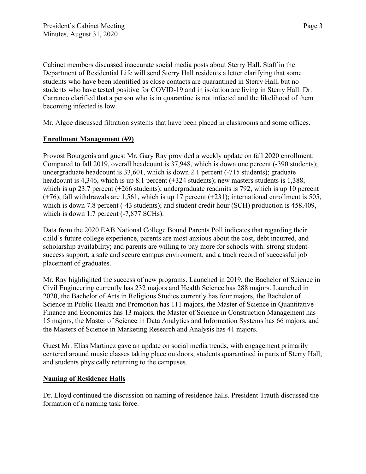Cabinet members discussed inaccurate social media posts about Sterry Hall. Staff in the Department of Residential Life will send Sterry Hall residents a letter clarifying that some students who have been identified as close contacts are quarantined in Sterry Hall, but no students who have tested positive for COVID-19 and in isolation are living in Sterry Hall. Dr. Carranco clarified that a person who is in quarantine is not infected and the likelihood of them becoming infected is low.

Mr. Algoe discussed filtration systems that have been placed in classrooms and some offices.

## **Enrollment Management (#9)**

Provost Bourgeois and guest Mr. Gary Ray provided a weekly update on fall 2020 enrollment. Compared to fall 2019, overall headcount is 37,948, which is down one percent (-390 students); undergraduate headcount is 33,601, which is down 2.1 percent (-715 students); graduate headcount is 4,346, which is up 8.1 percent (+324 students); new masters students is 1,388, which is up 23.7 percent (+266 students); undergraduate readmits is 792, which is up 10 percent  $(+76)$ ; fall withdrawals are 1,561, which is up 17 percent  $(+231)$ ; international enrollment is 505, which is down 7.8 percent (-43 students); and student credit hour (SCH) production is 458,409, which is down 1.7 percent  $(-7,877 \text{ SCHs})$ .

Data from the 2020 EAB National College Bound Parents Poll indicates that regarding their child's future college experience, parents are most anxious about the cost, debt incurred, and scholarship availability; and parents are willing to pay more for schools with: strong studentsuccess support, a safe and secure campus environment, and a track record of successful job placement of graduates.

Mr. Ray highlighted the success of new programs. Launched in 2019, the Bachelor of Science in Civil Engineering currently has 232 majors and Health Science has 288 majors. Launched in 2020, the Bachelor of Arts in Religious Studies currently has four majors, the Bachelor of Science in Public Health and Promotion has 111 majors, the Master of Science in Quantitative Finance and Economics has 13 majors, the Master of Science in Construction Management has 15 majors, the Master of Science in Data Analytics and Information Systems has 66 majors, and the Masters of Science in Marketing Research and Analysis has 41 majors.

Guest Mr. Elias Martinez gave an update on social media trends, with engagement primarily centered around music classes taking place outdoors, students quarantined in parts of Sterry Hall, and students physically returning to the campuses.

#### **Naming of Residence Halls**

Dr. Lloyd continued the discussion on naming of residence halls. President Trauth discussed the formation of a naming task force.